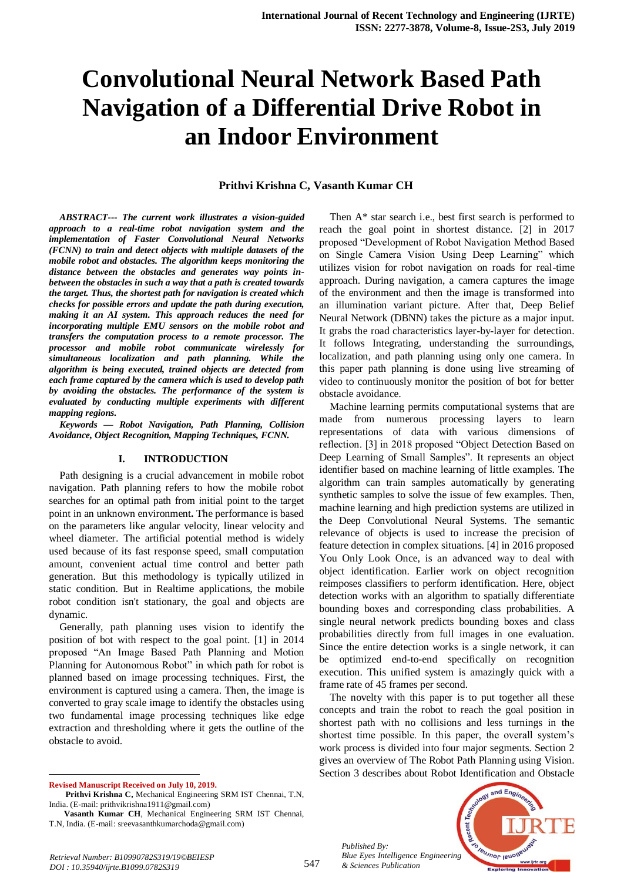# **Convolutional Neural Network Based Path Navigation of a Differential Drive Robot in an Indoor Environment**

### **Prithvi Krishna C, Vasanth Kumar CH**

*ABSTRACT--- The current work illustrates a vision-guided approach to a real-time robot navigation system and the implementation of Faster Convolutional Neural Networks (FCNN) to train and detect objects with multiple datasets of the mobile robot and obstacles. The algorithm keeps monitoring the distance between the obstacles and generates way points inbetween the obstacles in such a way that a path is created towards the target. Thus, the shortest path for navigation is created which checks for possible errors and update the path during execution, making it an AI system. This approach reduces the need for incorporating multiple EMU sensors on the mobile robot and transfers the computation process to a remote processor. The processor and mobile robot communicate wirelessly for simultaneous localization and path planning. While the algorithm is being executed, trained objects are detected from each frame captured by the camera which is used to develop path by avoiding the obstacles. The performance of the system is evaluated by conducting multiple experiments with different mapping regions.*

*Keywords — Robot Navigation, Path Planning, Collision Avoidance, Object Recognition, Mapping Techniques, FCNN.*

#### **I. INTRODUCTION**

Path designing is a crucial advancement in mobile robot navigation. Path planning refers to how the mobile robot searches for an optimal path from initial point to the target point in an unknown environment**.** The performance is based on the parameters like angular velocity, linear velocity and wheel diameter. The artificial potential method is widely used because of its fast response speed, small computation amount, convenient actual time control and better path generation. But this methodology is typically utilized in static condition. But in Realtime applications, the mobile robot condition isn't stationary, the goal and objects are dynamic.

Generally, path planning uses vision to identify the position of bot with respect to the goal point. [1] in 2014 proposed "An Image Based Path Planning and Motion Planning for Autonomous Robot" in which path for robot is planned based on image processing techniques. First, the environment is captured using a camera. Then, the image is converted to gray scale image to identify the obstacles using two fundamental image processing techniques like edge extraction and thresholding where it gets the outline of the obstacle to avoid.

**Revised Manuscript Received on July 10, 2019.**

 $\ddot{\phantom{a}}$ 

Then A\* star search i.e., best first search is performed to reach the goal point in shortest distance. [2] in 2017 proposed "Development of Robot Navigation Method Based on Single Camera Vision Using Deep Learning" which utilizes vision for robot navigation on roads for real-time approach. During navigation, a camera captures the image of the environment and then the image is transformed into an illumination variant picture. After that, Deep Belief Neural Network (DBNN) takes the picture as a major input. It grabs the road characteristics layer-by-layer for detection. It follows Integrating, understanding the surroundings, localization, and path planning using only one camera. In this paper path planning is done using live streaming of video to continuously monitor the position of bot for better obstacle avoidance.

Machine learning permits computational systems that are made from numerous processing layers to learn representations of data with various dimensions of reflection. [3] in 2018 proposed "Object Detection Based on Deep Learning of Small Samples". It represents an object identifier based on machine learning of little examples. The algorithm can train samples automatically by generating synthetic samples to solve the issue of few examples. Then, machine learning and high prediction systems are utilized in the Deep Convolutional Neural Systems. The semantic relevance of objects is used to increase the precision of feature detection in complex situations. [4] in 2016 proposed You Only Look Once, is an advanced way to deal with object identification. Earlier work on object recognition reimposes classifiers to perform identification. Here, object detection works with an algorithm to spatially differentiate bounding boxes and corresponding class probabilities. A single neural network predicts bounding boxes and class probabilities directly from full images in one evaluation. Since the entire detection works is a single network, it can be optimized end-to-end specifically on recognition execution. This unified system is amazingly quick with a frame rate of 45 frames per second.

The novelty with this paper is to put together all these concepts and train the robot to reach the goal position in shortest path with no collisions and less turnings in the shortest time possible. In this paper, the overall system's work process is divided into four major segments. Section 2 gives an overview of The Robot Path Planning using Vision. Section 3 describes about Robot Identification and Obstacle

*Published By: Blue Eyes Intelligence Engineering & Sciences Publication* 



**Prithvi Krishna C,** Mechanical Engineering SRM IST Chennai, T.N, India. (E-mail: prithvikrishna1911@gmail.com)

**Vasanth Kumar CH**, Mechanical Engineering SRM IST Chennai, T.N, India. (E-mail: sreevasanthkumarchoda@gmail.com)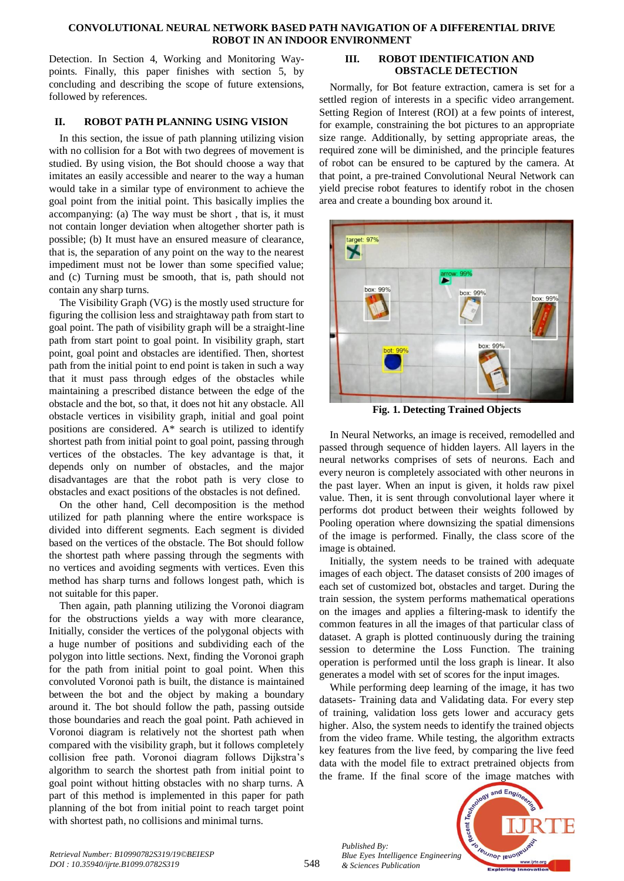#### **CONVOLUTIONAL NEURAL NETWORK BASED PATH NAVIGATION OF A DIFFERENTIAL DRIVE ROBOT IN AN INDOOR ENVIRONMENT**

Detection. In Section 4, Working and Monitoring Waypoints. Finally, this paper finishes with section 5, by concluding and describing the scope of future extensions, followed by references.

## **II. ROBOT PATH PLANNING USING VISION**

In this section, the issue of path planning utilizing vision with no collision for a Bot with two degrees of movement is studied. By using vision, the Bot should choose a way that imitates an easily accessible and nearer to the way a human would take in a similar type of environment to achieve the goal point from the initial point. This basically implies the accompanying: (a) The way must be short , that is, it must not contain longer deviation when altogether shorter path is possible; (b) It must have an ensured measure of clearance, that is, the separation of any point on the way to the nearest impediment must not be lower than some specified value; and (c) Turning must be smooth, that is, path should not contain any sharp turns.

The Visibility Graph (VG) is the mostly used structure for figuring the collision less and straightaway path from start to goal point. The path of visibility graph will be a straight-line path from start point to goal point. In visibility graph, start point, goal point and obstacles are identified. Then, shortest path from the initial point to end point is taken in such a way that it must pass through edges of the obstacles while maintaining a prescribed distance between the edge of the obstacle and the bot, so that, it does not hit any obstacle. All obstacle vertices in visibility graph, initial and goal point positions are considered. A\* search is utilized to identify shortest path from initial point to goal point, passing through vertices of the obstacles. The key advantage is that, it depends only on number of obstacles, and the major disadvantages are that the robot path is very close to obstacles and exact positions of the obstacles is not defined.

On the other hand, Cell decomposition is the method utilized for path planning where the entire workspace is divided into different segments. Each segment is divided based on the vertices of the obstacle. The Bot should follow the shortest path where passing through the segments with no vertices and avoiding segments with vertices. Even this method has sharp turns and follows longest path, which is not suitable for this paper.

Then again, path planning utilizing the Voronoi diagram for the obstructions yields a way with more clearance, Initially, consider the vertices of the polygonal objects with a huge number of positions and subdividing each of the polygon into little sections. Next, finding the Voronoi graph for the path from initial point to goal point. When this convoluted Voronoi path is built, the distance is maintained between the bot and the object by making a boundary around it. The bot should follow the path, passing outside those boundaries and reach the goal point. Path achieved in Voronoi diagram is relatively not the shortest path when compared with the visibility graph, but it follows completely collision free path. Voronoi diagram follows Dijkstra's algorithm to search the shortest path from initial point to goal point without hitting obstacles with no sharp turns. A part of this method is implemented in this paper for path planning of the bot from initial point to reach target point with shortest path, no collisions and minimal turns.

### **III. ROBOT IDENTIFICATION AND OBSTACLE DETECTION**

Normally, for Bot feature extraction, camera is set for a settled region of interests in a specific video arrangement. Setting Region of Interest (ROI) at a few points of interest, for example, constraining the bot pictures to an appropriate size range. Additionally, by setting appropriate areas, the required zone will be diminished, and the principle features of robot can be ensured to be captured by the camera. At that point, a pre-trained Convolutional Neural Network can yield precise robot features to identify robot in the chosen area and create a bounding box around it.



**Fig. 1. Detecting Trained Objects**

In Neural Networks, an image is received, remodelled and passed through sequence of hidden layers. All layers in the neural networks comprises of sets of neurons. Each and every neuron is completely associated with other neurons in the past layer. When an input is given, it holds raw pixel value. Then, it is sent through convolutional layer where it performs dot product between their weights followed by Pooling operation where downsizing the spatial dimensions of the image is performed. Finally, the class score of the image is obtained.

Initially, the system needs to be trained with adequate images of each object. The dataset consists of 200 images of each set of customized bot, obstacles and target. During the train session, the system performs mathematical operations on the images and applies a filtering-mask to identify the common features in all the images of that particular class of dataset. A graph is plotted continuously during the training session to determine the Loss Function. The training operation is performed until the loss graph is linear. It also generates a model with set of scores for the input images.

While performing deep learning of the image, it has two datasets- Training data and Validating data. For every step of training, validation loss gets lower and accuracy gets higher. Also, the system needs to identify the trained objects from the video frame. While testing, the algorithm extracts key features from the live feed, by comparing the live feed data with the model file to extract pretrained objects from the frame. If the final score of the image matches with



*Retrieval Number: B10990782S319/19©BEIESP DOI : 10.35940/ijrte.B1099.0782S319*

*Published By:*

*& Sciences Publication*